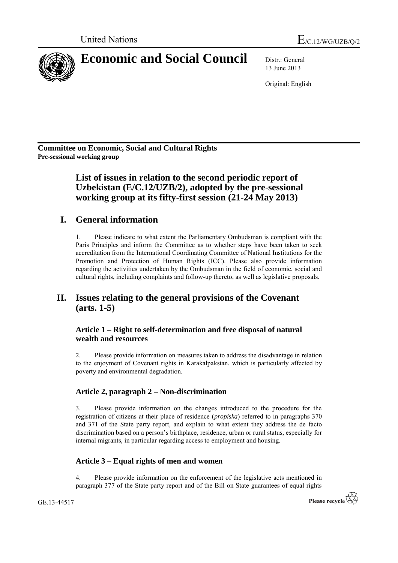

13 June 2013

Original: English

**Committee on Economic, Social and Cultural Rights Pre-sessional working group**

> **List of issues in relation to the second periodic report of Uzbekistan (E/C.12/UZB/2), adopted by the pre-sessional working group at its fifty-first session (21-24 May 2013)**

# **I. General information**

1. Please indicate to what extent the Parliamentary Ombudsman is compliant with the Paris Principles and inform the Committee as to whether steps have been taken to seek accreditation from the International Coordinating Committee of National Institutions for the Promotion and Protection of Human Rights (ICC). Please also provide information regarding the activities undertaken by the Ombudsman in the field of economic, social and cultural rights, including complaints and follow-up thereto, as well as legislative proposals.

# **II. Issues relating to the general provisions of the Covenant (arts. 1-5)**

## **Article 1 – Right to self-determination and free disposal of natural wealth and resources**

2. Please provide information on measures taken to address the disadvantage in relation to the enjoyment of Covenant rights in Karakalpakstan, which is particularly affected by poverty and environmental degradation.

## **Article 2, paragraph 2 – Non-discrimination**

3. Please provide information on the changes introduced to the procedure for the registration of citizens at their place of residence (*propiska*) referred to in paragraphs 370 and 371 of the State party report, and explain to what extent they address the de facto discrimination based on a person's birthplace, residence, urban or rural status, especially for internal migrants, in particular regarding access to employment and housing.

## **Article 3 – Equal rights of men and women**

4. Please provide information on the enforcement of the legislative acts mentioned in paragraph 377 of the State party report and of the Bill on State guarantees of equal rights

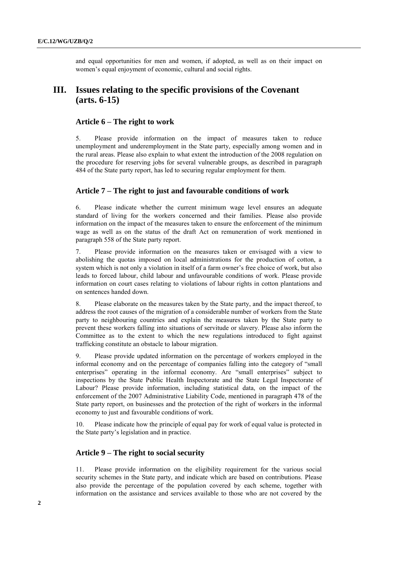and equal opportunities for men and women, if adopted, as well as on their impact on women's equal enjoyment of economic, cultural and social rights.

## **III. Issues relating to the specific provisions of the Covenant (arts. 6-15)**

#### **Article 6 – The right to work**

5. Please provide information on the impact of measures taken to reduce unemployment and underemployment in the State party, especially among women and in the rural areas. Please also explain to what extent the introduction of the 2008 regulation on the procedure for reserving jobs for several vulnerable groups, as described in paragraph 484 of the State party report, has led to securing regular employment for them.

#### **Article 7 – The right to just and favourable conditions of work**

6. Please indicate whether the current minimum wage level ensures an adequate standard of living for the workers concerned and their families. Please also provide information on the impact of the measures taken to ensure the enforcement of the minimum wage as well as on the status of the draft Act on remuneration of work mentioned in paragraph 558 of the State party report.

7. Please provide information on the measures taken or envisaged with a view to abolishing the quotas imposed on local administrations for the production of cotton, a system which is not only a violation in itself of a farm owner's free choice of work, but also leads to forced labour, child labour and unfavourable conditions of work. Please provide information on court cases relating to violations of labour rights in cotton plantations and on sentences handed down.

8. Please elaborate on the measures taken by the State party, and the impact thereof, to address the root causes of the migration of a considerable number of workers from the State party to neighbouring countries and explain the measures taken by the State party to prevent these workers falling into situations of servitude or slavery. Please also inform the Committee as to the extent to which the new regulations introduced to fight against trafficking constitute an obstacle to labour migration.

9. Please provide updated information on the percentage of workers employed in the informal economy and on the percentage of companies falling into the category of "small enterprises" operating in the informal economy. Are "small enterprises" subject to inspections by the State Public Health Inspectorate and the State Legal Inspectorate of Labour? Please provide information, including statistical data, on the impact of the enforcement of the 2007 Administrative Liability Code, mentioned in paragraph 478 of the State party report, on businesses and the protection of the right of workers in the informal economy to just and favourable conditions of work.

10. Please indicate how the principle of equal pay for work of equal value is protected in the State party's legislation and in practice.

#### **Article 9 – The right to social security**

11. Please provide information on the eligibility requirement for the various social security schemes in the State party, and indicate which are based on contributions. Please also provide the percentage of the population covered by each scheme, together with information on the assistance and services available to those who are not covered by the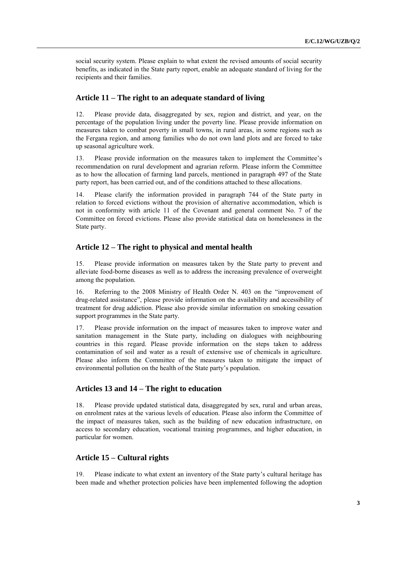social security system. Please explain to what extent the revised amounts of social security benefits, as indicated in the State party report, enable an adequate standard of living for the recipients and their families.

#### **Article 11 – The right to an adequate standard of living**

12. Please provide data, disaggregated by sex, region and district, and year, on the percentage of the population living under the poverty line. Please provide information on measures taken to combat poverty in small towns, in rural areas, in some regions such as the Fergana region, and among families who do not own land plots and are forced to take up seasonal agriculture work.

13. Please provide information on the measures taken to implement the Committee's recommendation on rural development and agrarian reform. Please inform the Committee as to how the allocation of farming land parcels, mentioned in paragraph 497 of the State party report, has been carried out, and of the conditions attached to these allocations.

14. Please clarify the information provided in paragraph 744 of the State party in relation to forced evictions without the provision of alternative accommodation, which is not in conformity with article 11 of the Covenant and general comment No. 7 of the Committee on forced evictions. Please also provide statistical data on homelessness in the State party.

#### **Article 12 – The right to physical and mental health**

15. Please provide information on measures taken by the State party to prevent and alleviate food-borne diseases as well as to address the increasing prevalence of overweight among the population.

16. Referring to the 2008 Ministry of Health Order N. 403 on the "improvement of drug-related assistance", please provide information on the availability and accessibility of treatment for drug addiction. Please also provide similar information on smoking cessation support programmes in the State party.

17. Please provide information on the impact of measures taken to improve water and sanitation management in the State party, including on dialogues with neighbouring countries in this regard. Please provide information on the steps taken to address contamination of soil and water as a result of extensive use of chemicals in agriculture. Please also inform the Committee of the measures taken to mitigate the impact of environmental pollution on the health of the State party's population.

#### **Articles 13 and 14 – The right to education**

18. Please provide updated statistical data, disaggregated by sex, rural and urban areas, on enrolment rates at the various levels of education. Please also inform the Committee of the impact of measures taken, such as the building of new education infrastructure, on access to secondary education, vocational training programmes, and higher education, in particular for women.

#### **Article 15 – Cultural rights**

19. Please indicate to what extent an inventory of the State party's cultural heritage has been made and whether protection policies have been implemented following the adoption